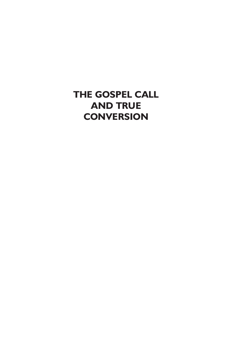# **The Gospel Call and True Conversion**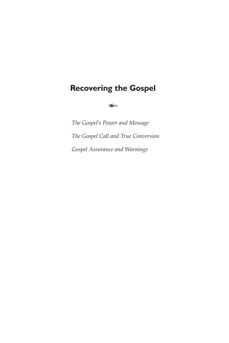## **Recovering the Gospel**

 $\bullet$ 

*The Gospel's Power and Message The Gospel Call and True Conversion Gospel Assurance and Warnings*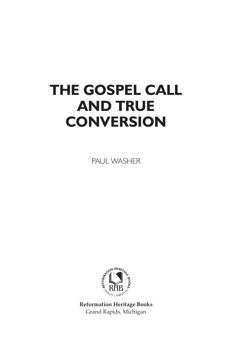# **The Gospel call and True Conversion**

PAUL WASHER



**Reformation Heritage Books** Grand Rapids, Michigan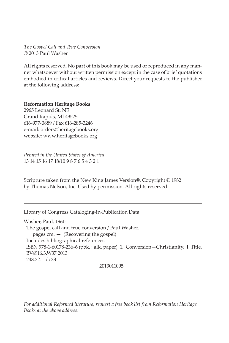*The Gospel Call and True Conversion* © 2013 Paul Washer

All rights reserved. No part of this book may be used or reproduced in any manner whatsoever without written permission except in the case of brief quotations embodied in critical articles and reviews. Direct your requests to the publisher at the following address:

**Reformation Heritage Books** 2965 Leonard St. NE Grand Rapids, MI 49525 616-977-0889 / Fax 616-285-3246 e-mail: orders@heritagebooks.org website: www.heritagebooks.org

*Printed in the United States of America* 13 14 15 16 17 18/10 9 8 7 6 5 4 3 2 1

Scripture taken from the New King James Version®. Copyright © 1982 by Thomas Nelson, Inc. Used by permission. All rights reserved.

Library of Congress Cataloging-in-Publication Data

Washer, Paul, 1961- The gospel call and true conversion / Paul Washer. pages cm. — (Recovering the gospel) Includes bibliographical references. ISBN 978-1-60178-236-6 (pbk. : alk. paper) 1. Conversion—Christianity. I. Title. BV4916.3.W37 2013 248.2'4—dc23

2013011095

*For additional Reformed literature, request a free book list from Reformation Heritage Books at the above address.*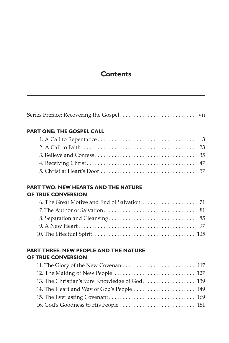## **Contents**

| <b>PART ONE: THE GOSPEL CALL</b>                                            |    |
|-----------------------------------------------------------------------------|----|
|                                                                             | 3  |
|                                                                             | 23 |
|                                                                             | 35 |
|                                                                             | 47 |
|                                                                             | 57 |
| <b>PART TWO: NEW HEARTS AND THE NATURE</b><br>OF TRUE CONVERSION            |    |
| 6. The Great Motive and End of Salvation                                    | 71 |
|                                                                             | 81 |
|                                                                             | 85 |
|                                                                             | 97 |
|                                                                             |    |
| PART THREE: NEW PEOPLE AND THE NATURE<br>OF TRUE CONVERSION                 |    |
|                                                                             |    |
| 12 The Making of New People <b>12 Figure 12</b> 12 The Making of New People |    |

| 14. The Heart and Way of God's People  149 |  |
|--------------------------------------------|--|
|                                            |  |
|                                            |  |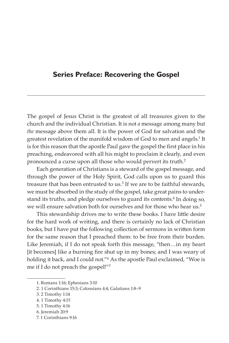## **Series Preface: Recovering the Gospel**

The gospel of Jesus Christ is the greatest of all treasures given to the church and the individual Christian. It is not *a* message among many but *the* message above them all. It is the power of God for salvation and the greatest revelation of the manifold wisdom of God to men and angels.1 It is for this reason that the apostle Paul gave the gospel the first place in his preaching, endeavored with all his might to proclaim it clearly, and even pronounced a curse upon all those who would pervert its truth.2

Each generation of Christians is a steward of the gospel message, and through the power of the Holy Spirit, God calls upon us to guard this treasure that has been entrusted to us.<sup>3</sup> If we are to be faithful stewards, we must be absorbed in the study of the gospel, take great pains to understand its truths, and pledge ourselves to guard its contents.<sup>4</sup> In doing so, we will ensure salvation both for ourselves and for those who hear us.<sup>5</sup>

This stewardship drives me to write these books. I have little desire for the hard work of writing, and there is certainly no lack of Christian books, but I have put the following collection of sermons in written form for the same reason that I preached them: to be free from their burden. Like Jeremiah, if I do not speak forth this message, "then…in my heart [it becomes] like a burning fire shut up in my bones; and I was weary of holding it back, and I could not."<sup>6</sup> As the apostle Paul exclaimed, "Woe is me if I do not preach the gospel!"7

<sup>1.</sup> Romans 1:16; Ephesians 3:10

<sup>2. 1</sup> Corinthians 15:3; Colossians 4:4; Galatians 1:8–9

<sup>3. 2</sup> Timothy 1:14

<sup>4. 1</sup> Timothy 4:15

<sup>5. 1</sup> Timothy 4:16

<sup>6.</sup> Jeremiah 20:9

<sup>7. 1</sup> Corinthians 9:16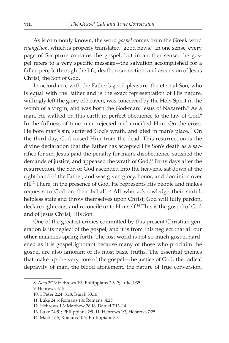As is commonly known, the word *gospel* comes from the Greek word *euangélion*, which is properly translated "good news." In one sense, every page of Scripture contains the gospel, but in another sense, the gospel refers to a very specific message—the salvation accomplished for a fallen people through the life, death, resurrection, and ascension of Jesus Christ, the Son of God.

In accordance with the Father's good pleasure, the eternal Son, who is equal with the Father and is the exact representation of His nature, willingly left the glory of heaven, was conceived by the Holy Spirit in the womb of a virgin, and was born the God-man: Jesus of Nazareth.<sup>8</sup> As a man, He walked on this earth in perfect obedience to the law of God.<sup>9</sup> In the fullness of time, men rejected and crucified Him. On the cross, He bore man's sin, suffered God's wrath, and died in man's place.<sup>10</sup> On the third day, God raised Him from the dead. This resurrection is the divine declaration that the Father has accepted His Son's death as a sacrifice for sin. Jesus paid the penalty for man's disobedience, satisfied the demands of justice, and appeased the wrath of God.<sup>11</sup> Forty days after the resurrection, the Son of God ascended into the heavens, sat down at the right hand of the Father, and was given glory, honor, and dominion over all.12 There, in the presence of God, He represents His people and makes requests to God on their behalf.13 All who acknowledge their sinful, helpless state and throw themselves upon Christ, God will fully pardon, declare righteous, and reconcile unto Himself.14 This is the gospel of God and of Jesus Christ, His Son.

One of the greatest crimes committed by this present Christian generation is its neglect of the gospel, and it is from this neglect that all our other maladies spring forth. The lost world is not so much gospel hardened as it is gospel ignorant because many of those who proclaim the gospel are also ignorant of its most basic truths. The essential themes that make up the very core of the gospel—the justice of God, the radical depravity of man, the blood atonement, the nature of true conversion,

<sup>8.</sup> Acts 2:23; Hebrews 1:3; Philippians 2:6–7; Luke 1:35

<sup>9.</sup> Hebrews 4:15

<sup>10. 1</sup> Peter 2:24; 3:18; Isaiah 53:10

<sup>11.</sup> Luke 24:6; Romans 1:4; Romans 4:25

<sup>12.</sup> Hebrews 1:3; Matthew 28:18; Daniel 7:13–14

<sup>13.</sup> Luke 24:51; Philippians 2:9–11; Hebrews 1:3; Hebrews 7:25

<sup>14.</sup> Mark 1:15; Romans 10:9; Philippians 3:3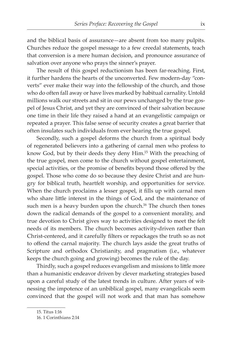and the biblical basis of assurance—are absent from too many pulpits. Churches reduce the gospel message to a few creedal statements, teach that conversion is a mere human decision, and pronounce assurance of salvation over anyone who prays the sinner's prayer.

The result of this gospel reductionism has been far-reaching. First, it further hardens the hearts of the unconverted. Few modern-day "converts" ever make their way into the fellowship of the church, and those who do often fall away or have lives marked by habitual carnality. Untold millions walk our streets and sit in our pews unchanged by the true gospel of Jesus Christ, and yet they are convinced of their salvation because one time in their life they raised a hand at an evangelistic campaign or repeated a prayer. This false sense of security creates a great barrier that often insulates such individuals from ever hearing the true gospel.

Secondly, such a gospel deforms the church from a spiritual body of regenerated believers into a gathering of carnal men who profess to know God, but by their deeds they deny Him.15 With the preaching of the true gospel, men come to the church without gospel entertainment, special activities, or the promise of benefits beyond those offered by the gospel. Those who come do so because they desire Christ and are hungry for biblical truth, heartfelt worship, and opportunities for service. When the church proclaims a lesser gospel, it fills up with carnal men who share little interest in the things of God, and the maintenance of such men is a heavy burden upon the church.<sup>16</sup> The church then tones down the radical demands of the gospel to a convenient morality, and true devotion to Christ gives way to activities designed to meet the felt needs of its members. The church becomes activity-driven rather than Christ-centered, and it carefully filters or repackages the truth so as not to offend the carnal majority. The church lays aside the great truths of Scripture and orthodox Christianity, and pragmatism (i.e., whatever keeps the church going and growing) becomes the rule of the day.

Thirdly, such a gospel reduces evangelism and missions to little more than a humanistic endeavor driven by clever marketing strategies based upon a careful study of the latest trends in culture. After years of witnessing the impotence of an unbiblical gospel, many evangelicals seem convinced that the gospel will not work and that man has somehow

<sup>15.</sup> Titus 1:16

<sup>16. 1</sup> Corinthians 2:14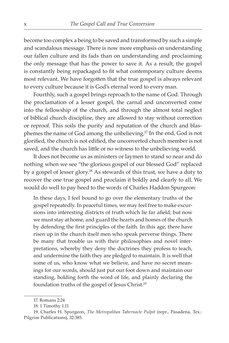become too complex a being to be saved and transformed by such a simple and scandalous message. There is now more emphasis on understanding our fallen culture and its fads than on understanding and proclaiming the only message that has the power to save it. As a result, the gospel is constantly being repackaged to fit what contemporary culture deems most relevant. We have forgotten that the true gospel is always relevant to every culture because it is God's eternal word to every man.

Fourthly, such a gospel brings reproach to the name of God. Through the proclamation of a lesser gospel, the carnal and unconverted come into the fellowship of the church, and through the almost total neglect of biblical church discipline, they are allowed to stay without correction or reproof. This soils the purity and reputation of the church and blasphemes the name of God among the unbelieving.17 In the end, God is not glorified, the church is not edified, the unconverted church member is not saved, and the church has little or no witness to the unbelieving world.

It does not become us as ministers or laymen to stand so near and do nothing when we see "the glorious gospel of our blessed God" replaced by a gospel of lesser glory.18 As stewards of this trust, we have a duty to recover the one true gospel and proclaim it boldly and clearly to all. We would do well to pay heed to the words of Charles Haddon Spurgeon:

In these days, I feel bound to go over the elementary truths of the gospel repeatedly. In peaceful times, we may feel free to make excursions into interesting districts of truth which lie far afield; but now we must stay at home, and guard the hearts and homes of the church by defending the first principles of the faith. In this age, there have risen up in the church itself men who speak perverse things. There be many that trouble us with their philosophies and novel interpretations, whereby they deny the doctrines they profess to teach, and undermine the faith they are pledged to maintain. It is well that some of us, who know what we believe, and have no secret meanings for our words, should just put our foot down and maintain our standing, holding forth the word of life, and plainly declaring the foundation truths of the gospel of Jesus Christ.<sup>19</sup>

<sup>17.</sup> Romans 2:24

<sup>18. 1</sup> Timothy 1:11

<sup>19.</sup> Charles H. Spurgeon, *The Metropolitan Tabernacle Pulpit* (repr., Pasadena, Tex.: Pilgrim Publications), 32:385.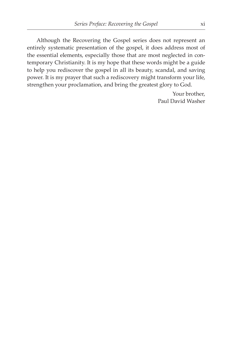Although the Recovering the Gospel series does not represent an entirely systematic presentation of the gospel, it does address most of the essential elements, especially those that are most neglected in contemporary Christianity. It is my hope that these words might be a guide to help you rediscover the gospel in all its beauty, scandal, and saving power. It is my prayer that such a rediscovery might transform your life, strengthen your proclamation, and bring the greatest glory to God.

> Your brother, Paul David Washer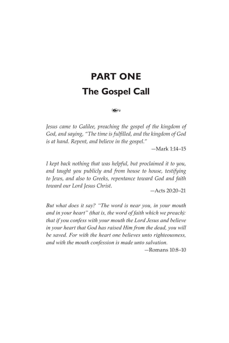# **PART ONE The Gospel Call**

 $\circledast$ 

*Jesus came to Galilee, preaching the gospel of the kingdom of God, and saying, "The time is fulfilled, and the kingdom of God is at hand. Repent, and believe in the gospel."*

—Mark 1:14–15

*I kept back nothing that was helpful, but proclaimed it to you, and taught you publicly and from house to house, testifying to Jews, and also to Greeks, repentance toward God and faith toward our Lord Jesus Christ.* —Acts 20:20–21

*But what does it say? "The word is near you, in your mouth and in your heart" (that is, the word of faith which we preach): that if you confess with your mouth the Lord Jesus and believe in your heart that God has raised Him from the dead, you will be saved. For with the heart one believes unto righteousness, and with the mouth confession is made unto salvation.*

—Romans 10:8–10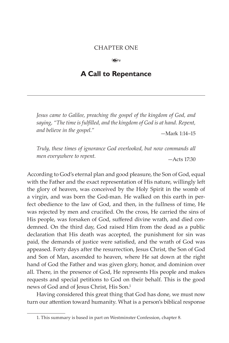#### CHAPTER ONE

 $\circledcirc$ 

## **A Call to Repentance**

*Jesus came to Galilee, preaching the gospel of the kingdom of God, and saying, "The time is fulfilled, and the kingdom of God is at hand. Repent, and believe in the gospel."* —Mark 1:14–15

*Truly, these times of ignorance God overlooked, but now commands all men everywhere to repent.* —Acts 17:30

According to God's eternal plan and good pleasure, the Son of God, equal with the Father and the exact representation of His nature, willingly left the glory of heaven, was conceived by the Holy Spirit in the womb of a virgin, and was born the God-man. He walked on this earth in perfect obedience to the law of God, and then, in the fullness of time, He was rejected by men and crucified. On the cross, He carried the sins of His people, was forsaken of God, suffered divine wrath, and died condemned. On the third day, God raised Him from the dead as a public declaration that His death was accepted, the punishment for sin was paid, the demands of justice were satisfied, and the wrath of God was appeased. Forty days after the resurrection, Jesus Christ, the Son of God and Son of Man, ascended to heaven, where He sat down at the right hand of God the Father and was given glory, honor, and dominion over all. There, in the presence of God, He represents His people and makes requests and special petitions to God on their behalf. This is the good news of God and of Jesus Christ, His Son.<sup>1</sup>

Having considered this great thing that God has done, we must now turn our attention toward humanity. What is a person's biblical response

<sup>1.</sup> This summary is based in part on Westminster Confession, chapter 8.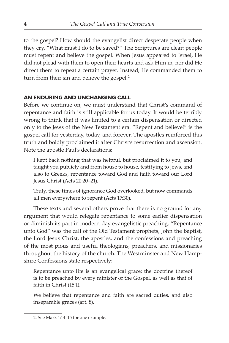to the gospel? How should the evangelist direct desperate people when they cry, "What must I do to be saved?" The Scriptures are clear: people must repent and believe the gospel. When Jesus appeared to Israel, He did not plead with them to open their hearts and ask Him in, nor did He direct them to repeat a certain prayer. Instead, He commanded them to turn from their sin and believe the gospel.<sup>2</sup>

#### **AN ENDURING AND UNCHANGING CALL**

Before we continue on, we must understand that Christ's command of repentance and faith is still applicable for us today. It would be terribly wrong to think that it was limited to a certain dispensation or directed only to the Jews of the New Testament era. "Repent and believe!" is the gospel call for yesterday, today, and forever. The apostles reinforced this truth and boldly proclaimed it after Christ's resurrection and ascension. Note the apostle Paul's declarations:

I kept back nothing that was helpful, but proclaimed it to you, and taught you publicly and from house to house, testifying to Jews, and also to Greeks, repentance toward God and faith toward our Lord Jesus Christ (Acts 20:20–21).

Truly, these times of ignorance God overlooked, but now commands all men everywhere to repent (Acts 17:30).

These texts and several others prove that there is no ground for any argument that would relegate repentance to some earlier dispensation or diminish its part in modern-day evangelistic preaching. "Repentance unto God" was the call of the Old Testament prophets, John the Baptist, the Lord Jesus Christ, the apostles, and the confessions and preaching of the most pious and useful theologians, preachers, and missionaries throughout the history of the church. The Westminster and New Hampshire Confessions state respectively:

Repentance unto life is an evangelical grace; the doctrine thereof is to be preached by every minister of the Gospel, as well as that of faith in Christ (15.1).

We believe that repentance and faith are sacred duties, and also inseparable graces (art. 8).

<sup>2.</sup> See Mark 1:14–15 for one example.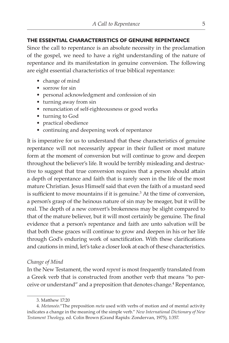#### **THE ESSENTIAL CHARACTERISTICS OF GENUINE REPENTANCE**

Since the call to repentance is an absolute necessity in the proclamation of the gospel, we need to have a right understanding of the nature of repentance and its manifestation in genuine conversion. The following are eight essential characteristics of true biblical repentance:

- change of mind
- sorrow for sin
- personal acknowledgment and confession of sin
- turning away from sin
- renunciation of self-righteousness or good works
- turning to God
- practical obedience
- continuing and deepening work of repentance

It is imperative for us to understand that these characteristics of genuine repentance will not necessarily appear in their fullest or most mature form at the moment of conversion but will continue to grow and deepen throughout the believer's life. It would be terribly misleading and destructive to suggest that true conversion requires that a person should attain a depth of repentance and faith that is rarely seen in the life of the most mature Christian. Jesus Himself said that even the faith of a mustard seed is sufficient to move mountains if it is genuine.<sup>3</sup> At the time of conversion, a person's grasp of the heinous nature of sin may be meager, but it will be real. The depth of a new convert's brokenness may be slight compared to that of the mature believer, but it will most certainly be genuine. The final evidence that a person's repentance and faith are unto salvation will be that both these graces will continue to grow and deepen in his or her life through God's enduring work of sanctification. With these clarifications and cautions in mind, let's take a closer look at each of these characteristics.

#### *Change of Mind*

In the New Testament, the word *repent* is most frequently translated from a Greek verb that is constructed from another verb that means "to perceive or understand" and a preposition that denotes change.<sup>4</sup> Repentance,

<sup>3.</sup> Matthew 17:20

<sup>4.</sup> *Metanoéo.*"The preposition *meta* used with verbs of motion and of mental activity indicates a change in the meaning of the simple verb." *New International Dictionary of New Testament Theology,* ed. Colin Brown (Grand Rapids: Zondervan, 1975), 1:357.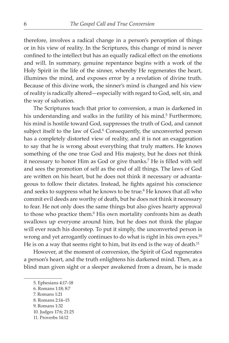therefore, involves a radical change in a person's perception of things or in his view of reality. In the Scriptures, this change of mind is never confined to the intellect but has an equally radical effect on the emotions and will. In summary, genuine repentance begins with a work of the Holy Spirit in the life of the sinner, whereby He regenerates the heart, illumines the mind, and exposes error by a revelation of divine truth. Because of this divine work, the sinner's mind is changed and his view of reality is radically altered—especially with regard to God, self, sin, and the way of salvation.

The Scriptures teach that prior to conversion, a man is darkened in his understanding and walks in the futility of his mind.<sup>5</sup> Furthermore, his mind is hostile toward God, suppresses the truth of God, and cannot subject itself to the law of God.<sup>6</sup> Consequently, the unconverted person has a completely distorted view of reality, and it is not an exaggeration to say that he is wrong about everything that truly matters. He knows something of the one true God and His majesty, but he does not think it necessary to honor Him as God or give thanks.<sup>7</sup> He is filled with self and sees the promotion of self as the end of all things. The laws of God are written on his heart, but he does not think it necessary or advantageous to follow their dictates. Instead, he fights against his conscience and seeks to suppress what he knows to be true.<sup>8</sup> He knows that all who commit evil deeds are worthy of death, but he does not think it necessary to fear. He not only does the same things but also gives hearty approval to those who practice them.<sup>9</sup> His own mortality confronts him as death swallows up everyone around him, but he does not think the plague will ever reach his doorstep. To put it simply, the unconverted person is wrong and yet arrogantly continues to do what is right in his own eyes.<sup>10</sup> He is on a way that seems right to him, but its end is the way of death.<sup>11</sup>

However, at the moment of conversion, the Spirit of God regenerates a person's heart, and the truth enlightens his darkened mind. Then, as a blind man given sight or a sleeper awakened from a dream, he is made

- 9. Romans 1:32
- 10. Judges 17:6; 21:25
- 11. Proverbs 14:12

<sup>5.</sup> Ephesians 4:17–18

<sup>6.</sup> Romans 1:18; 8:7

<sup>7.</sup> Romans 1:21

<sup>8.</sup> Romans 2:14–15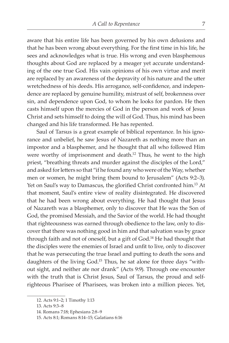aware that his entire life has been governed by his own delusions and that he has been wrong about everything. For the first time in his life, he sees and acknowledges what is true. His wrong and even blasphemous thoughts about God are replaced by a meager yet accurate understanding of the one true God. His vain opinions of his own virtue and merit are replaced by an awareness of the depravity of his nature and the utter wretchedness of his deeds. His arrogance, self-confidence, and independence are replaced by genuine humility, mistrust of self, brokenness over sin, and dependence upon God, to whom he looks for pardon. He then casts himself upon the mercies of God in the person and work of Jesus Christ and sets himself to doing the will of God. Thus, his mind has been changed and his life transformed. He has repented.

Saul of Tarsus is a great example of biblical repentance. In his ignorance and unbelief, he saw Jesus of Nazareth as nothing more than an impostor and a blasphemer, and he thought that all who followed Him were worthy of imprisonment and death.<sup>12</sup> Thus, he went to the high priest, "breathing threats and murder against the disciples of the Lord," and asked for letters so that "if he found any who were of the Way, whether men or women, he might bring them bound to Jerusalem" (Acts 9:2–3). Yet on Saul's way to Damascus, the glorified Christ confronted him.13 At that moment, Saul's entire view of reality disintegrated. He discovered that he had been wrong about everything. He had thought that Jesus of Nazareth was a blasphemer, only to discover that He was the Son of God, the promised Messiah, and the Savior of the world. He had thought that righteousness was earned through obedience to the law, only to discover that there was nothing good in him and that salvation was by grace through faith and not of oneself, but a gift of God.<sup>14</sup> He had thought that the disciples were the enemies of Israel and unfit to live, only to discover that he was persecuting the true Israel and putting to death the sons and daughters of the living God.15 Thus, he sat alone for three days "without sight, and neither ate nor drank" (Acts 9:9). Through one encounter with the truth that is Christ Jesus, Saul of Tarsus, the proud and selfrighteous Pharisee of Pharisees, was broken into a million pieces. Yet,

<sup>12.</sup> Acts 9:1–2; 1 Timothy 1:13

<sup>13.</sup> Acts 9:3–8

<sup>14.</sup> Romans 7:18; Ephesians 2:8–9

<sup>15.</sup> Acts 8:1; Romans 8:14–15; Galatians 6:16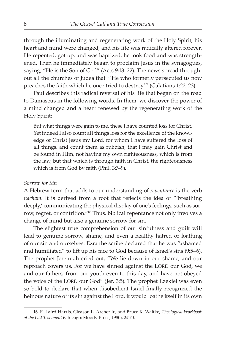through the illuminating and regenerating work of the Holy Spirit, his heart and mind were changed, and his life was radically altered forever. He repented, got up, and was baptized; he took food and was strengthened. Then he immediately began to proclaim Jesus in the synagogues, saying, "He is the Son of God" (Acts 9:18–22). The news spread throughout all the churches of Judea that "'He who formerly persecuted us now preaches the faith which he once tried to destroy'" (Galatians 1:22–23).

Paul describes this radical reversal of his life that began on the road to Damascus in the following words. In them, we discover the power of a mind changed and a heart renewed by the regenerating work of the Holy Spirit:

But what things were gain to me, these I have counted loss for Christ. Yet indeed I also count all things loss for the excellence of the knowledge of Christ Jesus my Lord, for whom I have suffered the loss of all things, and count them as rubbish, that I may gain Christ and be found in Him, not having my own righteousness, which is from the law, but that which is through faith in Christ, the righteousness which is from God by faith (Phil. 3:7–9).

#### *Sorrow for Sin*

A Hebrew term that adds to our understanding of *repentance* is the verb *nacham.* It is derived from a root that reflects the idea of "'breathing deeply,' communicating the physical display of one's feelings, such as sorrow, regret, or contrition."16 Thus, biblical repentance not only involves a change of mind but also a genuine sorrow for sin.

The slightest true comprehension of our sinfulness and guilt will lead to genuine sorrow, shame, and even a healthy hatred or loathing of our sin and ourselves. Ezra the scribe declared that he was "ashamed and humiliated" to lift up his face to God because of Israel's sins (9:5–6). The prophet Jeremiah cried out, "We lie down in our shame, and our reproach covers us. For we have sinned against the LORD our God, we and our fathers, from our youth even to this day, and have not obeyed the voice of the LORD our God" (Jer. 3:5). The prophet Ezekiel was even so bold to declare that when disobedient Israel finally recognized the heinous nature of its sin against the Lord, it would loathe itself in its own

<sup>16.</sup> R. Laird Harris, Gleason L. Archer Jr., and Bruce K. Waltke, *Theological Workbook of the Old Testament* (Chicago: Moody Press, 1980), 2:570.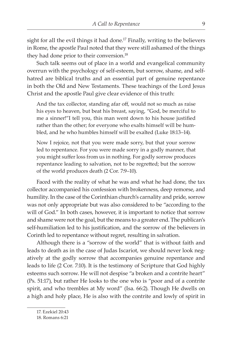sight for all the evil things it had done.<sup>17</sup> Finally, writing to the believers in Rome, the apostle Paul noted that they were still ashamed of the things they had done prior to their conversion.<sup>18</sup>

Such talk seems out of place in a world and evangelical community overrun with the psychology of self-esteem, but sorrow, shame, and selfhatred are biblical truths and an essential part of genuine repentance in both the Old and New Testaments. These teachings of the Lord Jesus Christ and the apostle Paul give clear evidence of this truth:

And the tax collector, standing afar off, would not so much as raise his eyes to heaven, but beat his breast, saying, "God, be merciful to me a sinner!"I tell you, this man went down to his house justified rather than the other; for everyone who exalts himself will be humbled, and he who humbles himself will be exalted (Luke 18:13–14).

Now I rejoice, not that you were made sorry, but that your sorrow led to repentance. For you were made sorry in a godly manner, that you might suffer loss from us in nothing. For godly sorrow produces repentance leading to salvation, not to be regretted; but the sorrow of the world produces death (2 Cor. 7:9–10).

Faced with the reality of what he was and what he had done, the tax collector accompanied his confession with brokenness, deep remorse, and humility. In the case of the Corinthian church's carnality and pride, sorrow was not only appropriate but was also considered to be "according to the will of God." In both cases, however, it is important to notice that sorrow and shame were not the goal, but the means to a greater end. The publican's self-humiliation led to his justification, and the sorrow of the believers in Corinth led to repentance without regret, resulting in salvation.

Although there is a "sorrow of the world" that is without faith and leads to death as in the case of Judas Iscariot, we should never look negatively at the godly sorrow that accompanies genuine repentance and leads to life (2 Cor. 7:10). It is the testimony of Scripture that God highly esteems such sorrow. He will not despise "a broken and a contrite heart" (Ps. 51:17), but rather He looks to the one who is "poor and of a contrite spirit, and who trembles at My word" (Isa. 66:2). Though He dwells on a high and holy place, He is also with the contrite and lowly of spirit in

<sup>17.</sup> Ezekiel 20:43

<sup>18.</sup> Romans 6:21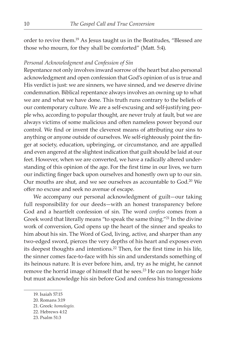order to revive them.19 As Jesus taught us in the Beatitudes, "Blessed are those who mourn, for they shall be comforted" (Matt. 5:4).

#### *Personal Acknowledgment and Confession of Sin*

Repentance not only involves inward sorrow of the heart but also personal acknowledgment and open confession that God's opinion of us is true and His verdict is just: we are sinners, we have sinned, and we deserve divine condemnation. Biblical repentance always involves an owning up to what we are and what we have done. This truth runs contrary to the beliefs of our contemporary culture. We are a self-excusing and self-justifying people who, according to popular thought, are never truly at fault, but we are always victims of some malicious and often nameless power beyond our control. We find or invent the cleverest means of attributing our sins to anything or anyone outside of ourselves. We self-righteously point the finger at society, education, upbringing, or circumstance, and are appalled and even angered at the slightest indication that guilt should be laid at our feet. However, when we are converted, we have a radically altered understanding of this opinion of the age. For the first time in our lives, we turn our indicting finger back upon ourselves and honestly own up to our sin. Our mouths are shut, and we see ourselves as accountable to God.20 We offer no excuse and seek no avenue of escape.

We accompany our personal acknowledgment of guilt—our taking full responsibility for our deeds—with an honest transparency before God and a heartfelt confession of sin. The word *confess* comes from a Greek word that literally means "to speak the same thing."21 In the divine work of conversion, God opens up the heart of the sinner and speaks to him about his sin. The Word of God, living, active, and sharper than any two-edged sword, pierces the very depths of his heart and exposes even its deepest thoughts and intentions.<sup>22</sup> Then, for the first time in his life, the sinner comes face-to-face with his sin and understands something of its heinous nature. It is ever before him, and, try as he might, he cannot remove the horrid image of himself that he sees.<sup>23</sup> He can no longer hide but must acknowledge his sin before God and confess his transgressions

<sup>19.</sup> Isaiah 57:15

<sup>20.</sup> Romans 3:19

<sup>21.</sup> Greek: *homologéo*.

<sup>22.</sup> Hebrews 4:12

<sup>23.</sup> Psalm 51:3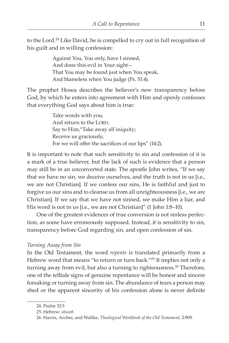to the Lord.24 Like David, he is compelled to cry out in full recognition of his guilt and in willing confession:

> Against You, You only, have I sinned, And done this evil in Your sight— That You may be found just when You speak, And blameless when You judge (Ps. 51:4).

The prophet Hosea describes the believer's new transparency before God, by which he enters into agreement with Him and openly confesses that everything God says about him is true:

> Take words with you, And return to the LORD. Say to Him,"Take away all iniquity; Receive us graciously, For we will offer the sacrifices of our lips" (14:2).

It is important to note that such sensitivity to sin and confession of it is a mark of a true believer, but the lack of such is evidence that a person may still be in an unconverted state. The apostle John writes, "If we say that we have no sin, we deceive ourselves, and the truth is not in us [i.e., we are not Christian]. If we confess our sins, He is faithful and just to forgive us our sins and to cleanse us from all unrighteousness [i.e., we are Christian]. If we say that we have not sinned, we make Him a liar, and His word is not in us [i.e., we are not Christian]" (1 John 1:8–10).

One of the greatest evidences of true conversion is not sinless perfection, as some have erroneously supposed. Instead, it is sensitivity to sin, transparency before God regarding sin, and open confession of sin.

#### *Turning Away from Sin*

In the Old Testament, the word *repents* is translated primarily from a Hebrew word that means "to return or turn back."25 It implies not only a turning away from evil, but also a turning to righteousness.<sup>26</sup> Therefore, one of the telltale signs of genuine repentance will be honest and sincere forsaking or turning away from sin. The abundance of tears a person may shed or the apparent sincerity of his confession alone is never definite

<sup>24.</sup> Psalm 32:5

<sup>25.</sup> Hebrew: *shuwb*.

<sup>26.</sup> Harris, Archer, and Waltke, *Theological Workbook of the Old Testament,* 2:909.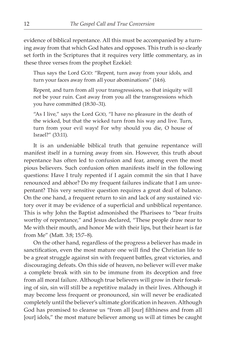evidence of biblical repentance. All this must be accompanied by a turning away from that which God hates and opposes. This truth is so clearly set forth in the Scriptures that it requires very little commentary, as in these three verses from the prophet Ezekiel:

Thus says the Lord GOD: "Repent, turn away from your idols, and turn your faces away from all your abominations" (14:6).

Repent, and turn from all your transgressions, so that iniquity will not be your ruin. Cast away from you all the transgressions which you have committed (18:30–31).

"As I live," says the Lord GOD, "I have no pleasure in the death of the wicked, but that the wicked turn from his way and live. Turn, turn from your evil ways! For why should you die, O house of Israel?" (33:11).

It is an undeniable biblical truth that genuine repentance will manifest itself in a turning away from sin. However, this truth about repentance has often led to confusion and fear, among even the most pious believers. Such confusion often manifests itself in the following questions: Have I truly repented if I again commit the sin that I have renounced and abhor? Do my frequent failures indicate that I am unrepentant? This very sensitive question requires a great deal of balance. On the one hand, a frequent return to sin and lack of any sustained victory over it may be evidence of a superficial and unbiblical repentance. This is why John the Baptist admonished the Pharisees to "bear fruits worthy of repentance," and Jesus declared, "These people draw near to Me with their mouth, and honor Me with their lips, but their heart is far from Me" (Matt. 3:8; 15:7–8).

On the other hand, regardless of the progress a believer has made in sanctification, even the most mature one will find the Christian life to be a great struggle against sin with frequent battles, great victories, and discouraging defeats. On this side of heaven, no believer will ever make a complete break with sin to be immune from its deception and free from all moral failure. Although true believers will grow in their forsaking of sin, sin will still be a repetitive malady in their lives. Although it may become less frequent or pronounced, sin will never be eradicated completely until the believer's ultimate glorification in heaven. Although God has promised to cleanse us "from all [our] filthiness and from all [our] idols," the most mature believer among us will at times be caught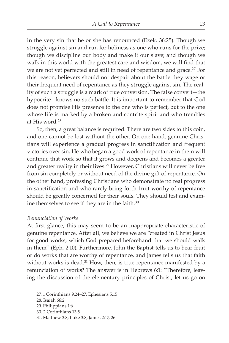in the very sin that he or she has renounced (Ezek. 36:25). Though we struggle against sin and run for holiness as one who runs for the prize; though we discipline our body and make it our slave; and though we walk in this world with the greatest care and wisdom, we will find that we are not yet perfected and still in need of repentance and grace.<sup>27</sup> For this reason, believers should not despair about the battle they wage or their frequent need of repentance as they struggle against sin. The reality of such a struggle is a mark of true conversion. The false convert—the hypocrite—knows no such battle. It is important to remember that God does not promise His presence to the one who is perfect, but to the one whose life is marked by a broken and contrite spirit and who trembles at His word.<sup>28</sup>

So, then, a great balance is required. There are two sides to this coin, and one cannot be lost without the other. On one hand, genuine Christians will experience a gradual progress in sanctification and frequent victories over sin. He who began a good work of repentance in them will continue that work so that it grows and deepens and becomes a greater and greater reality in their lives.29 However, Christians will never be free from sin completely or without need of the divine gift of repentance. On the other hand, professing Christians who demonstrate no real progress in sanctification and who rarely bring forth fruit worthy of repentance should be greatly concerned for their souls. They should test and examine themselves to see if they are in the faith.<sup>30</sup>

#### *Renunciation of Works*

At first glance, this may seem to be an inappropriate characteristic of genuine repentance. After all, we believe we are "created in Christ Jesus for good works, which God prepared beforehand that we should walk in them" (Eph. 2:10). Furthermore, John the Baptist tells us to bear fruit or do works that are worthy of repentance, and James tells us that faith without works is dead.<sup>31</sup> How, then, is true repentance manifested by a renunciation of works? The answer is in Hebrews 6:1: "Therefore, leaving the discussion of the elementary principles of Christ, let us go on

<sup>27. 1</sup> Corinthians 9:24–27; Ephesians 5:15

<sup>28.</sup> Isaiah 66:2

<sup>29.</sup> Philippians 1:6

<sup>30. 2</sup> Corinthians 13:5

<sup>31.</sup> Matthew 3:8; Luke 3:8; James 2:17, 26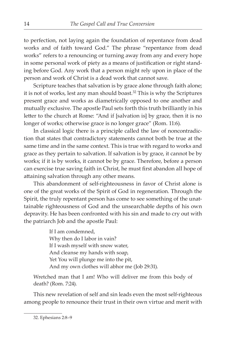to perfection, not laying again the foundation of repentance from dead works and of faith toward God." The phrase "repentance from dead works" refers to a renouncing or turning away from any and every hope in some personal work of piety as a means of justification or right standing before God. Any work that a person might rely upon in place of the person and work of Christ is a dead work that cannot save.

Scripture teaches that salvation is by grace alone through faith alone; it is not of works, lest any man should boast.<sup>32</sup> This is why the Scriptures present grace and works as diametrically opposed to one another and mutually exclusive. The apostle Paul sets forth this truth brilliantly in his letter to the church at Rome: "And if [salvation is] by grace, then it is no longer of works; otherwise grace is no longer grace" (Rom. 11:6).

In classical logic there is a principle called the law of noncontradiction that states that contradictory statements cannot both be true at the same time and in the same context. This is true with regard to works and grace as they pertain to salvation. If salvation is by grace, it cannot be by works; if it is by works, it cannot be by grace. Therefore, before a person can exercise true saving faith in Christ, he must first abandon all hope of attaining salvation through any other means.

This abandonment of self-righteousness in favor of Christ alone is one of the great works of the Spirit of God in regeneration. Through the Spirit, the truly repentant person has come to see something of the unattainable righteousness of God and the unsearchable depths of his own depravity. He has been confronted with his sin and made to cry out with the patriarch Job and the apostle Paul:

> If I am condemned, Why then do I labor in vain? If I wash myself with snow water, And cleanse my hands with soap, Yet You will plunge me into the pit, And my own clothes will abhor me (Job 29:31).

Wretched man that I am! Who will deliver me from this body of death? (Rom. 7:24).

This new revelation of self and sin leads even the most self-righteous among people to renounce their trust in their own virtue and merit with

<sup>32.</sup> Ephesians 2:8–9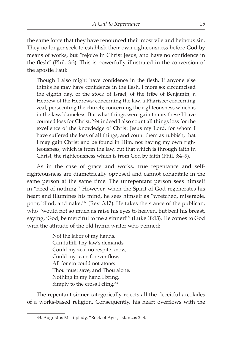the same force that they have renounced their most vile and heinous sin. They no longer seek to establish their own righteousness before God by means of works, but "rejoice in Christ Jesus, and have no confidence in the flesh" (Phil. 3:3). This is powerfully illustrated in the conversion of the apostle Paul:

Though I also might have confidence in the flesh. If anyone else thinks he may have confidence in the flesh, I more so: circumcised the eighth day, of the stock of Israel, of the tribe of Benjamin, a Hebrew of the Hebrews; concerning the law, a Pharisee; concerning zeal, persecuting the church; concerning the righteousness which is in the law, blameless. But what things were gain to me, these I have counted loss for Christ. Yet indeed I also count all things loss for the excellence of the knowledge of Christ Jesus my Lord, for whom I have suffered the loss of all things, and count them as rubbish, that I may gain Christ and be found in Him, not having my own righteousness, which is from the law, but that which is through faith in Christ, the righteousness which is from God by faith (Phil. 3:4–9).

As in the case of grace and works, true repentance and selfrighteousness are diametrically opposed and cannot cohabitate in the same person at the same time. The unrepentant person sees himself in "need of nothing." However, when the Spirit of God regenerates his heart and illumines his mind, he sees himself as "wretched, miserable, poor, blind, and naked" (Rev. 3:17). He takes the stance of the publican, who "would not so much as raise his eyes to heaven, but beat his breast, saying, 'God, be merciful to me a sinner!'" (Luke 18:13). He comes to God with the attitude of the old hymn writer who penned:

> Not the labor of my hands, Can fulfill Thy law's demands; Could my zeal no respite know, Could my tears forever flow, All for sin could not atone; Thou must save, and Thou alone. Nothing in my hand I bring, Simply to the cross I cling.33

The repentant sinner categorically rejects all the deceitful accolades of a works-based religion. Consequently, his heart overflows with the

<sup>33.</sup> Augustus M. Toplady, "Rock of Ages," stanzas 2–3.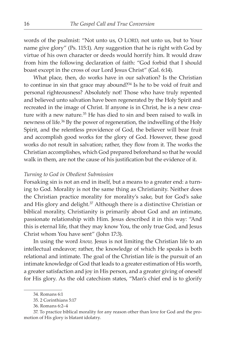words of the psalmist: "Not unto us, O LORD, not unto us, but to Your name give glory" (Ps. 115:1). Any suggestion that he is right with God by virtue of his own character or deeds would horrify him. It would draw from him the following declaration of faith: "God forbid that I should boast except in the cross of our Lord Jesus Christ" (Gal. 6:14).

What place, then, do works have in our salvation? Is the Christian to continue in sin that grace may abound?<sup>34</sup> Is he to be void of fruit and personal righteousness? Absolutely not! Those who have truly repented and believed unto salvation have been regenerated by the Holy Spirit and recreated in the image of Christ. If anyone is in Christ, he is a new creature with a new nature.<sup>35</sup> He has died to sin and been raised to walk in newness of life.36 By the power of regeneration, the indwelling of the Holy Spirit, and the relentless providence of God, the believer will bear fruit and accomplish good works for the glory of God. However, these good works do not result in salvation; rather, they flow from it. The works the Christian accomplishes, which God prepared beforehand so that he would walk in them, are not the cause of his justification but the evidence of it.

#### *Turning to God in Obedient Submission*

Forsaking sin is not an end in itself, but a means to a greater end: a turning to God. Morality is not the same thing as Christianity. Neither does the Christian practice morality for morality's sake, but for God's sake and His glory and delight.<sup>37</sup> Although there is a distinctive Christian or biblical morality, Christianity is primarily about God and an intimate, passionate relationship with Him. Jesus described it in this way: "And this is eternal life, that they may know You, the only true God, and Jesus Christ whom You have sent" (John 17:3).

In using the word *know,* Jesus is not limiting the Christian life to an intellectual endeavor; rather, the knowledge of which He speaks is both relational and intimate. The goal of the Christian life is the pursuit of an intimate knowledge of God that leads to a greater estimation of His worth, a greater satisfaction and joy in His person, and a greater giving of oneself for His glory. As the old catechism states, "Man's chief end is to glorify

<sup>34.</sup> Romans 6:1

<sup>35. 2</sup> Corinthians 5:17

<sup>36.</sup> Romans 6:2–4

<sup>37.</sup> To practice biblical morality for any reason other than love for God and the promotion of His glory is blatant idolatry.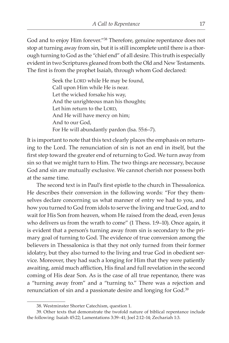God and to enjoy Him forever."38 Therefore, genuine repentance does not stop at turning away from sin, but it is still incomplete until there is a thorough turning to God as the "chief end" of all desire. This truth is especially evident in two Scriptures gleaned from both the Old and New Testaments. The first is from the prophet Isaiah, through whom God declared:

> Seek the LORD while He may be found, Call upon Him while He is near. Let the wicked forsake his way, And the unrighteous man his thoughts; Let him return to the LORD, And He will have mercy on him; And to our God, For He will abundantly pardon (Isa. 55:6–7).

It is important to note that this text clearly places the emphasis on returning to the Lord. The renunciation of sin is not an end in itself, but the first step toward the greater end of returning to God. We turn away from sin so that we might turn to Him. The two things are necessary, because God and sin are mutually exclusive. We cannot cherish nor possess both at the same time.

The second text is in Paul's first epistle to the church in Thessalonica. He describes their conversion in the following words: "For they themselves declare concerning us what manner of entry we had to you, and how you turned to God from idols to serve the living and true God, and to wait for His Son from heaven, whom He raised from the dead, even Jesus who delivers us from the wrath to come" (1 Thess. 1:9–10). Once again, it is evident that a person's turning away from sin is secondary to the primary goal of turning to God. The evidence of true conversion among the believers in Thessalonica is that they not only turned from their former idolatry, but they also turned to the living and true God in obedient service. Moreover, they had such a longing for Him that they were patiently awaiting, amid much affliction, His final and full revelation in the second coming of His dear Son. As is the case of all true repentance, there was a "turning away from" and a "turning to." There was a rejection and renunciation of sin and a passionate desire and longing for God.39

<sup>38.</sup> Westminster Shorter Catechism, question 1.

<sup>39.</sup> Other texts that demonstrate the twofold nature of biblical repentance include the following: Isaiah 45:22; Lamentations 3:39–41; Joel 2:12–14; Zechariah 1:3.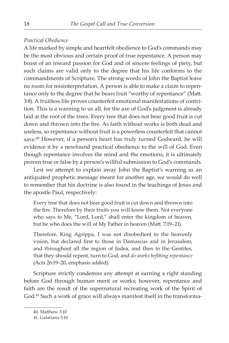#### *Practical Obedience*

A life marked by simple and heartfelt obedience to God's commands may be the most obvious and certain proof of true repentance. A person may boast of an inward passion for God and of sincere feelings of piety, but such claims are valid only to the degree that his life conforms to the commandments of Scripture. The strong words of John the Baptist leave no room for misinterpretation. A person is able to make a claim to repentance only to the degree that he bears fruit "worthy of repentance" (Matt. 3:8). A fruitless life proves counterfeit emotional manifestations of contrition. This is a warning to us all, for the axe of God's judgment is already laid at the root of the trees. Every tree that does not bear good fruit is cut down and thrown into the fire. As faith without works is both dead and useless, so repentance without fruit is a powerless counterfeit that cannot save.40 However, if a person's heart has truly turned Godward, he will evidence it by a newfound practical obedience to the will of God. Even though repentance involves the mind and the emotions, it is ultimately proven true or false by a person's willful submission to God's commands.

Lest we attempt to explain away John the Baptist's warning as an antiquated prophetic message meant for another age, we would do well to remember that his doctrine is also found in the teachings of Jesus and the apostle Paul, respectively:

Every tree that does not bear good fruit is cut down and thrown into the fire. Therefore by their fruits you will know them. Not everyone who says to Me, "Lord, Lord," shall enter the kingdom of heaven, but he who does the will of My Father in heaven (Matt. 7:19–21).

Therefore, King Agrippa, I was not disobedient to the heavenly vision, but declared first to those in Damascus and in Jerusalem, and throughout all the region of Judea, and then to the Gentiles, that they should repent, turn to God, and *do works befitting repentance* (Acts 26:19–20, emphasis added).

Scripture strictly condemns any attempt at earning a right standing before God through human merit or works; however, repentance and faith are the result of the supernatural recreating work of the Spirit of God.<sup>41</sup> Such a work of grace will always manifest itself in the transforma-

<sup>40.</sup> Matthew 3:10

<sup>41.</sup> Galatians 3:10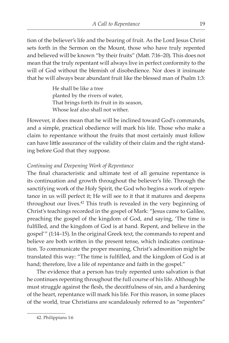tion of the believer's life and the bearing of fruit. As the Lord Jesus Christ sets forth in the Sermon on the Mount, those who have truly repented and believed will be known "by their fruits" (Matt. 7:16–20). This does not mean that the truly repentant will always live in perfect conformity to the will of God without the blemish of disobedience. Nor does it insinuate that he will always bear abundant fruit like the blessed man of Psalm 1:3:

> He shall be like a tree planted by the rivers of water, That brings forth its fruit in its season, Whose leaf also shall not wither.

However, it does mean that he will be inclined toward God's commands, and a simple, practical obedience will mark his life. Those who make a claim to repentance without the fruits that most certainly must follow can have little assurance of the validity of their claim and the right standing before God that they suppose.

#### *Continuing and Deepening Work of Repentance*

The final characteristic and ultimate test of all genuine repentance is its continuation and growth throughout the believer's life. Through the sanctifying work of the Holy Spirit, the God who begins a work of repentance in us will perfect it; He will see to it that it matures and deepens throughout our lives.42 This truth is revealed in the very beginning of Christ's teachings recorded in the gospel of Mark: "Jesus came to Galilee, preaching the gospel of the kingdom of God, and saying, 'The time is fulfilled, and the kingdom of God is at hand. Repent, and believe in the gospel'" (1:14–15). In the original Greek text, the commands to repent and believe are both written in the present tense, which indicates continuation. To communicate the proper meaning, Christ's admonition might be translated this way: "The time is fulfilled, and the kingdom of God is at hand; therefore, live a life of repentance and faith in the gospel."

The evidence that a person has truly repented unto salvation is that he continues repenting throughout the full course of his life. Although he must struggle against the flesh, the deceitfulness of sin, and a hardening of the heart, repentance will mark his life. For this reason, in some places of the world, true Christians are scandalously referred to as "repenters"

<sup>42.</sup> Philippians 1:6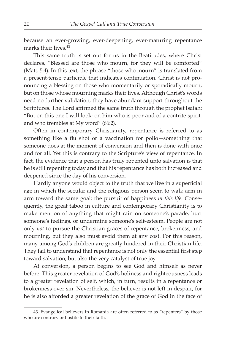because an ever-growing, ever-deepening, ever-maturing repentance marks their lives.43

This same truth is set out for us in the Beatitudes, where Christ declares, "Blessed are those who mourn, for they will be comforted" (Matt. 5:4). In this text, the phrase "those who mourn" is translated from a present-tense participle that indicates continuation. Christ is not pronouncing a blessing on those who momentarily or sporadically mourn, but on those whose mourning marks their lives. Although Christ's words need no further validation, they have abundant support throughout the Scriptures. The Lord affirmed the same truth through the prophet Isaiah: "But on this one I will look: on him who is poor and of a contrite spirit, and who trembles at My word" (66:2).

Often in contemporary Christianity, repentance is referred to as something like a flu shot or a vaccination for polio—something that someone does at the moment of conversion and then is done with once and for all. Yet this is contrary to the Scripture's view of repentance. In fact, the evidence that a person has truly repented unto salvation is that he is still repenting today and that his repentance has both increased and deepened since the day of his conversion.

Hardly anyone would object to the truth that we live in a superficial age in which the secular and the religious person seem to walk arm in arm toward the same goal: the pursuit of happiness *in this life.* Consequently, the great taboo in culture and contemporary Christianity is to make mention of anything that might rain on someone's parade, hurt someone's feelings, or undermine someone's self-esteem. People are not only *not* to pursue the Christian graces of repentance, brokenness, and mourning, but they also must avoid them at any cost. For this reason, many among God's children are greatly hindered in their Christian life. They fail to understand that repentance is not only the essential first step toward salvation, but also the very catalyst of true joy.

At conversion, a person begins to see God and himself as never before. This greater revelation of God's holiness and righteousness leads to a greater revelation of self, which, in turn, results in a repentance or brokenness over sin. Nevertheless, the believer is not left in despair, for he is also afforded a greater revelation of the grace of God in the face of

<sup>43.</sup> Evangelical believers in Romania are often referred to as "repenters" by those who are contrary or hostile to their faith.